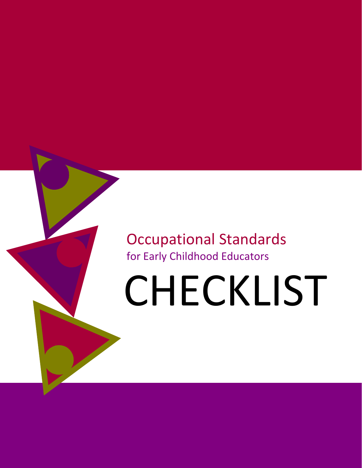### Occupational Standards for Early Childhood Educators

# CHECKLIST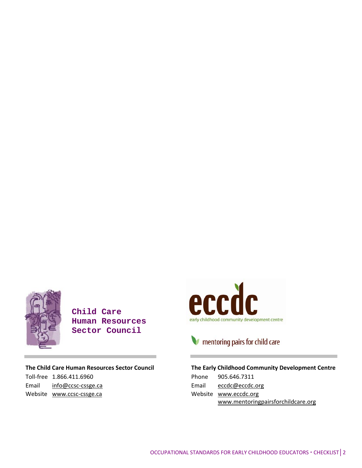

Toll‐free 1.866.411.6960 Email info@ccsc-cssge.ca Website www.ccsc-cssge.ca

**Child Care Human Resources Sector Council** 

**The Child Care Human Resources Sector Council**



### mentoring pairs for child care

#### **The Early Childhood Community Development Centre**

| Phone 905.646.7311                 |
|------------------------------------|
| Email $eccdc@eccdc.org$            |
| Website www.eccdc.org              |
| www.mentoringpairsforchildcare.org |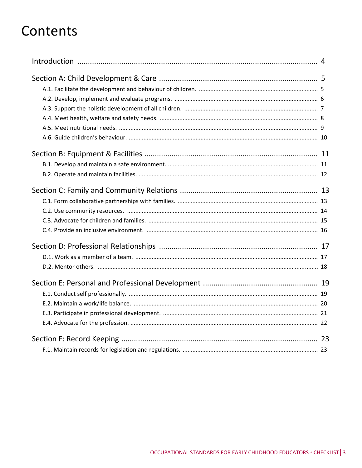### Contents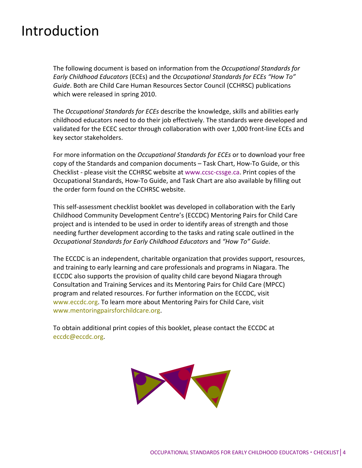### Introduction

The following document is based on information from the *Occupational Standards for Early Childhood Educators* (ECEs) and the *Occupational Standards for ECEs "How To" Guide*. Both are Child Care Human Resources Sector Council (CCHRSC) publications which were released in spring 2010.

The *Occupational Standards for ECEs* describe the knowledge, skills and abilities early childhood educators need to do their job effectively. The standards were developed and validated for the ECEC sector through collaboration with over 1,000 front‐line ECEs and key sector stakeholders.

For more information on the *Occupational Standards for ECEs* or to download your free copy of the Standards and companion documents – Task Chart, How‐To Guide, or this Checklist ‐ please visit the CCHRSC website at www.ccsc‐cssge.ca. Print copies of the Occupational Standards, How‐To Guide, and Task Chart are also available by filling out the order form found on the CCHRSC website.

This self‐assessment checklist booklet was developed in collaboration with the Early Childhood Community Development Centre's (ECCDC) Mentoring Pairs for Child Care project and is intended to be used in order to identify areas of strength and those needing further development according to the tasks and rating scale outlined in the *Occupational Standards for Early Childhood Educators* and *"How To" Guide*.

The ECCDC is an independent, charitable organization that provides support, resources, and training to early learning and care professionals and programs in Niagara. The ECCDC also supports the provision of quality child care beyond Niagara through Consultation and Training Services and its Mentoring Pairs for Child Care (MPCC) program and related resources. For further information on the ECCDC, visit www.eccdc.org. To learn more about Mentoring Pairs for Child Care, visit www.mentoringpairsforchildcare.org.

To obtain additional print copies of this booklet, please contact the ECCDC at eccdc@eccdc.org.

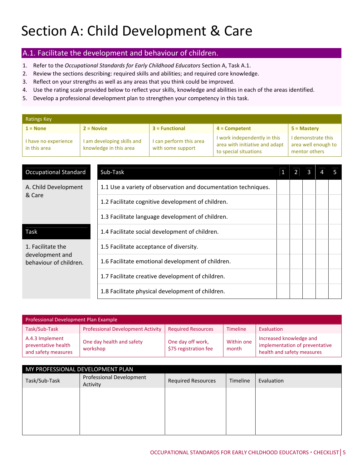#### A.1. Facilitate the development and behaviour of children.

- 1. Refer to the *Occupational Standards for Early Childhood Educators* Section A, Task A.1.
- 2. Review the sections describing: required skills and abilities; and required core knowledge.
- 3. Reflect on your strengths as well as any areas that you think could be improved.
- 4. Use the rating scale provided below to reflect your skills, knowledge and abilities in each of the areas identified.
- 5. Develop a professional development plan to strengthen your competency in this task.

| <b>Ratings Key</b>                   |                                                      |                                              |                                                                                         |                                                            |  |  |  |  |
|--------------------------------------|------------------------------------------------------|----------------------------------------------|-----------------------------------------------------------------------------------------|------------------------------------------------------------|--|--|--|--|
| $1 = None$                           | $2 = Novice$                                         | $3 = Functional$                             | $4 =$ Competent                                                                         | $5 =$ Mastery                                              |  |  |  |  |
| I have no experience<br>in this area | I am developing skills and<br>knowledge in this area | I can perform this area<br>with some support | I work independently in this<br>area with initiative and adapt<br>to special situations | I demonstrate this<br>area well enough to<br>mentor others |  |  |  |  |

| <b>Occupational Standard</b>              | Sub-Task                                                       |  |  |  |
|-------------------------------------------|----------------------------------------------------------------|--|--|--|
| A. Child Development                      | 1.1 Use a variety of observation and documentation techniques. |  |  |  |
| & Care                                    | 1.2 Facilitate cognitive development of children.              |  |  |  |
|                                           | 1.3 Facilitate language development of children.               |  |  |  |
| Task                                      | 1.4 Facilitate social development of children.                 |  |  |  |
| 1. Facilitate the                         | 1.5 Facilitate acceptance of diversity.                        |  |  |  |
| development and<br>behaviour of children. | 1.6 Facilitate emotional development of children.              |  |  |  |
|                                           | 1.7 Facilitate creative development of children.               |  |  |  |
|                                           | 1.8 Facilitate physical development of children.               |  |  |  |

| Professional Development Plan Example                         |                                       |                                            |                     |                                                                                         |  |  |
|---------------------------------------------------------------|---------------------------------------|--------------------------------------------|---------------------|-----------------------------------------------------------------------------------------|--|--|
| Task/Sub-Task                                                 | Professional Development Activity     | <b>Required Resources</b>                  | Timeline            | Evaluation                                                                              |  |  |
| A.4.3 Implement<br>preventative health<br>and safety measures | One day health and safety<br>workshop | One day off work,<br>\$75 registration fee | Within one<br>month | Increased knowledge and<br>implementation of preventative<br>health and safety measures |  |  |

| MY PROFESSIONAL DEVELOPMENT PLAN |                                      |                           |          |            |  |
|----------------------------------|--------------------------------------|---------------------------|----------|------------|--|
| Task/Sub-Task                    | Professional Development<br>Activity | <b>Required Resources</b> | Timeline | Evaluation |  |
|                                  |                                      |                           |          |            |  |
|                                  |                                      |                           |          |            |  |
|                                  |                                      |                           |          |            |  |
|                                  |                                      |                           |          |            |  |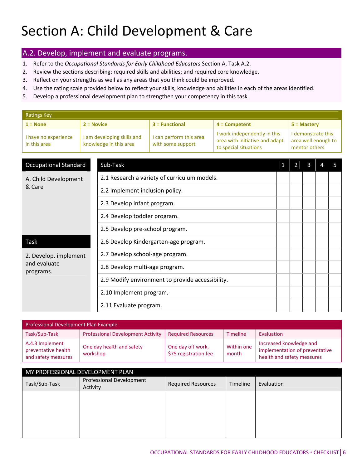#### A.2. Develop, implement and evaluate programs.

- 1. Refer to the *Occupational Standards for Early Childhood Educators* Section A, Task A.2.
- 2. Review the sections describing: required skills and abilities; and required core knowledge.
- 3. Reflect on your strengths as well as any areas that you think could be improved.
- 4. Use the rating scale provided below to reflect your skills, knowledge and abilities in each of the areas identified.
- 5. Develop a professional development plan to strengthen your competency in this task.

| <b>Ratings Key</b>                   |              |                                                      |                                              |                                                                                         |                |                                                            |   |   |   |
|--------------------------------------|--------------|------------------------------------------------------|----------------------------------------------|-----------------------------------------------------------------------------------------|----------------|------------------------------------------------------------|---|---|---|
| $1 = None$                           | $2 = Novice$ | $3 = Functional$<br>$4 =$ Competent                  |                                              |                                                                                         | 5 = Mastery    |                                                            |   |   |   |
| I have no experience<br>in this area |              | I am developing skills and<br>knowledge in this area | I can perform this area<br>with some support | I work independently in this<br>area with initiative and adapt<br>to special situations |                | I demonstrate this<br>area well enough to<br>mentor others |   |   |   |
|                                      |              |                                                      |                                              |                                                                                         |                |                                                            |   |   |   |
| <b>Occupational Standard</b>         |              | Sub-Task                                             |                                              |                                                                                         | 1 <sup>1</sup> | $\overline{2}$                                             | 3 | 4 | 5 |
| A. Child Development                 |              |                                                      | 2.1 Research a variety of curriculum models. |                                                                                         |                |                                                            |   |   |   |
| & Care                               |              | 2.2 Implement inclusion policy.                      |                                              |                                                                                         |                |                                                            |   |   |   |
|                                      |              | 2.3 Develop infant program.                          |                                              |                                                                                         |                |                                                            |   |   |   |
|                                      |              | 2.4 Develop toddler program.                         |                                              |                                                                                         |                |                                                            |   |   |   |
|                                      |              | 2.5 Develop pre-school program.                      |                                              |                                                                                         |                |                                                            |   |   |   |
| Task                                 |              |                                                      | 2.6 Develop Kindergarten-age program.        |                                                                                         |                |                                                            |   |   |   |
| 2. Develop, implement                |              | 2.7 Develop school-age program.                      |                                              |                                                                                         |                |                                                            |   |   |   |
| and evaluate<br>programs.            |              | 2.8 Develop multi-age program.                       |                                              |                                                                                         |                |                                                            |   |   |   |
|                                      |              | 2.9 Modify environment to provide accessibility.     |                                              |                                                                                         |                |                                                            |   |   |   |
|                                      |              | 2.10 Implement program.                              |                                              |                                                                                         |                |                                                            |   |   |   |
|                                      |              | 2.11 Evaluate program.                               |                                              |                                                                                         |                |                                                            |   |   |   |

| Professional Development Plan Example                         |                                          |                                            |                     |                                                                                         |  |  |
|---------------------------------------------------------------|------------------------------------------|--------------------------------------------|---------------------|-----------------------------------------------------------------------------------------|--|--|
| Task/Sub-Task                                                 | <b>Professional Development Activity</b> | <b>Required Resources</b>                  | <b>Timeline</b>     | Evaluation                                                                              |  |  |
| A.4.3 Implement<br>preventative health<br>and safety measures | One day health and safety<br>workshop    | One day off work,<br>\$75 registration fee | Within one<br>month | Increased knowledge and<br>implementation of preventative<br>health and safety measures |  |  |

| MY PROFESSIONAL DEVELOPMENT PLAN |                                      |                           |          |            |  |  |
|----------------------------------|--------------------------------------|---------------------------|----------|------------|--|--|
| Task/Sub-Task                    | Professional Development<br>Activity | <b>Required Resources</b> | Timeline | Evaluation |  |  |
|                                  |                                      |                           |          |            |  |  |
|                                  |                                      |                           |          |            |  |  |
|                                  |                                      |                           |          |            |  |  |
|                                  |                                      |                           |          |            |  |  |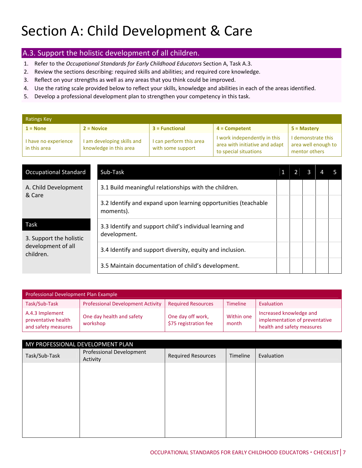#### A.3. Support the holistic development of all children.

- 1. Refer to the *Occupational Standards for Early Childhood Educators* Section A, Task A.3.
- 2. Review the sections describing: required skills and abilities; and required core knowledge.
- 3. Reflect on your strengths as well as any areas that you think could be improved.
- 4. Use the rating scale provided below to reflect your skills, knowledge and abilities in each of the areas identified.
- 5. Develop a professional development plan to strengthen your competency in this task.

| <b>Ratings Key</b>                   |                                                      |                                              |                                                                                         |                                                            |  |  |  |  |  |
|--------------------------------------|------------------------------------------------------|----------------------------------------------|-----------------------------------------------------------------------------------------|------------------------------------------------------------|--|--|--|--|--|
| $1 = None$                           | $2 = Novice$                                         | $3$ = Functional                             | $4 =$ Competent                                                                         | $5 =$ Mastery                                              |  |  |  |  |  |
| I have no experience<br>in this area | I am developing skills and<br>knowledge in this area | I can perform this area<br>with some support | I work independently in this<br>area with initiative and adapt<br>to special situations | I demonstrate this<br>area well enough to<br>mentor others |  |  |  |  |  |

| <b>Occupational Standard</b>    | Sub-Task                                                                    |  |  |  |
|---------------------------------|-----------------------------------------------------------------------------|--|--|--|
| A. Child Development<br>& Care  | 3.1 Build meaningful relationships with the children.                       |  |  |  |
|                                 | 3.2 Identify and expand upon learning opportunities (teachable<br>moments). |  |  |  |
| Task<br>3. Support the holistic | 3.3 Identify and support child's individual learning and<br>development.    |  |  |  |
| development of all<br>children. | 3.4 Identify and support diversity, equity and inclusion.                   |  |  |  |
|                                 | 3.5 Maintain documentation of child's development.                          |  |  |  |

| Professional Development Plan Example                         |                                          |                                            |                     |                                                                                         |  |  |  |
|---------------------------------------------------------------|------------------------------------------|--------------------------------------------|---------------------|-----------------------------------------------------------------------------------------|--|--|--|
| Task/Sub-Task                                                 | <b>Professional Development Activity</b> | <b>Required Resources</b>                  | <b>Timeline</b>     | Evaluation                                                                              |  |  |  |
| A.4.3 Implement<br>preventative health<br>and safety measures | One day health and safety<br>workshop    | One day off work,<br>\$75 registration fee | Within one<br>month | Increased knowledge and<br>implementation of preventative<br>health and safety measures |  |  |  |

| MY PROFESSIONAL DEVELOPMENT PLAN |                                      |                           |          |            |  |  |  |  |  |
|----------------------------------|--------------------------------------|---------------------------|----------|------------|--|--|--|--|--|
| Task/Sub-Task                    | Professional Development<br>Activity | <b>Required Resources</b> | Timeline | Evaluation |  |  |  |  |  |
|                                  |                                      |                           |          |            |  |  |  |  |  |
|                                  |                                      |                           |          |            |  |  |  |  |  |
|                                  |                                      |                           |          |            |  |  |  |  |  |
|                                  |                                      |                           |          |            |  |  |  |  |  |
|                                  |                                      |                           |          |            |  |  |  |  |  |
|                                  |                                      |                           |          |            |  |  |  |  |  |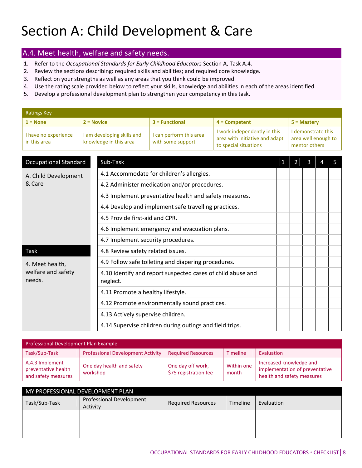#### A.4. Meet health, welfare and safety needs.

- 1. Refer to the *Occupational Standards for Early Childhood Educators* Section A, Task A.4.
- 2. Review the sections describing: required skills and abilities; and required core knowledge.
- 3. Reflect on your strengths as well as any areas that you think could be improved.
- 4. Use the rating scale provided below to reflect your skills, knowledge and abilities in each of the areas identified.
- 5. Develop a professional development plan to strengthen your competency in this task.

| <b>Ratings Key</b>                   |  |                                                                                                                                                                                                 |                                               |  |                |                |                                                            |   |  |
|--------------------------------------|--|-------------------------------------------------------------------------------------------------------------------------------------------------------------------------------------------------|-----------------------------------------------|--|----------------|----------------|------------------------------------------------------------|---|--|
| $1 = None$                           |  | $2 = Novice$<br>$3 = Functional$<br>$4 =$ Competent                                                                                                                                             |                                               |  |                |                | 5 = Mastery                                                |   |  |
| I have no experience<br>in this area |  | I work independently in this<br>I am developing skills and<br>I can perform this area<br>area with initiative and adapt<br>knowledge in this area<br>with some support<br>to special situations |                                               |  |                |                | I demonstrate this<br>area well enough to<br>mentor others |   |  |
|                                      |  |                                                                                                                                                                                                 |                                               |  |                |                |                                                            |   |  |
| <b>Occupational Standard</b>         |  | Sub-Task                                                                                                                                                                                        |                                               |  | 1 <sup>1</sup> | $\overline{2}$ | $\mathbf{3}$                                               | 4 |  |
| A. Child Development                 |  |                                                                                                                                                                                                 | 4.1 Accommodate for children's allergies.     |  |                |                |                                                            |   |  |
| & Care                               |  |                                                                                                                                                                                                 | 4.2 Administer medication and/or procedures.  |  |                |                |                                                            |   |  |
|                                      |  | 4.3 Implement preventative health and safety measures.                                                                                                                                          |                                               |  |                |                |                                                            |   |  |
|                                      |  | 4.4 Develop and implement safe travelling practices.                                                                                                                                            |                                               |  |                |                |                                                            |   |  |
|                                      |  | 4.5 Provide first-aid and CPR.                                                                                                                                                                  |                                               |  |                |                |                                                            |   |  |
|                                      |  | 4.6 Implement emergency and evacuation plans.                                                                                                                                                   |                                               |  |                |                |                                                            |   |  |
|                                      |  | 4.7 Implement security procedures.                                                                                                                                                              |                                               |  |                |                |                                                            |   |  |
| <b>Task</b>                          |  | 4.8 Review safety related issues.                                                                                                                                                               |                                               |  |                |                |                                                            |   |  |
| 4. Meet health,                      |  | 4.9 Follow safe toileting and diapering procedures.                                                                                                                                             |                                               |  |                |                |                                                            |   |  |
| welfare and safety<br>needs.         |  | 4.10 Identify and report suspected cases of child abuse and<br>neglect.                                                                                                                         |                                               |  |                |                |                                                            |   |  |
|                                      |  | 4.11 Promote a healthy lifestyle.                                                                                                                                                               |                                               |  |                |                |                                                            |   |  |
|                                      |  |                                                                                                                                                                                                 | 4.12 Promote environmentally sound practices. |  |                |                |                                                            |   |  |
|                                      |  | 4.13 Actively supervise children.                                                                                                                                                               |                                               |  |                |                |                                                            |   |  |
|                                      |  | 4.14 Supervise children during outings and field trips.                                                                                                                                         |                                               |  |                |                |                                                            |   |  |

| Professional Development Plan Example                         |                                          |                                            |                     |                                                                                         |  |  |  |  |  |
|---------------------------------------------------------------|------------------------------------------|--------------------------------------------|---------------------|-----------------------------------------------------------------------------------------|--|--|--|--|--|
| Task/Sub-Task                                                 | <b>Professional Development Activity</b> | <b>Required Resources</b>                  | <b>Timeline</b>     | Evaluation                                                                              |  |  |  |  |  |
| A.4.3 Implement<br>preventative health<br>and safety measures | One day health and safety<br>workshop    | One day off work,<br>\$75 registration fee | Within one<br>month | Increased knowledge and<br>implementation of preventative<br>health and safety measures |  |  |  |  |  |

| MY PROFESSIONAL DEVELOPMENT PLAN |                                      |                           |          |            |  |  |  |  |  |
|----------------------------------|--------------------------------------|---------------------------|----------|------------|--|--|--|--|--|
| Task/Sub-Task                    | Professional Development<br>Activity | <b>Required Resources</b> | Timeline | Evaluation |  |  |  |  |  |
|                                  |                                      |                           |          |            |  |  |  |  |  |
|                                  |                                      |                           |          |            |  |  |  |  |  |
|                                  |                                      |                           |          |            |  |  |  |  |  |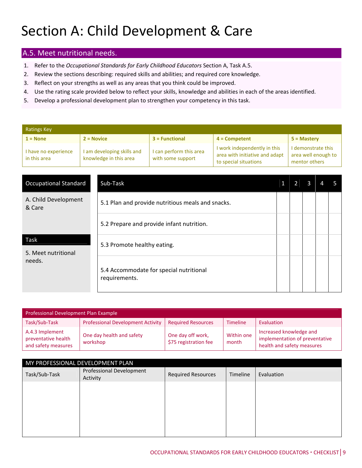#### A.5. Meet nutritional needs.

- 1. Refer to the *Occupational Standards for Early Childhood Educators* Section A, Task A.5.
- 2. Review the sections describing: required skills and abilities; and required core knowledge.
- 3. Reflect on your strengths as well as any areas that you think could be improved.
- 4. Use the rating scale provided below to reflect your skills, knowledge and abilities in each of the areas identified.
- 5. Develop a professional development plan to strengthen your competency in this task.

| <b>Ratings Key</b>                   |                                                      |                                              |                                                                                         |                                                            |  |  |  |  |  |  |
|--------------------------------------|------------------------------------------------------|----------------------------------------------|-----------------------------------------------------------------------------------------|------------------------------------------------------------|--|--|--|--|--|--|
| $1 = None$                           | $2 = Novice$                                         | $3$ = Functional                             | $4 =$ Competent                                                                         | $5 =$ Mastery                                              |  |  |  |  |  |  |
| I have no experience<br>in this area | I am developing skills and<br>knowledge in this area | I can perform this area<br>with some support | I work independently in this<br>area with initiative and adapt<br>to special situations | I demonstrate this<br>area well enough to<br>mentor others |  |  |  |  |  |  |

| <b>Occupational Standard</b>       | Sub-Task                                                 | 2 | 3 |  |
|------------------------------------|----------------------------------------------------------|---|---|--|
| A. Child Development<br>& Care     | 5.1 Plan and provide nutritious meals and snacks.        |   |   |  |
|                                    | 5.2 Prepare and provide infant nutrition.                |   |   |  |
| <b>Task</b><br>5. Meet nutritional | 5.3 Promote healthy eating.                              |   |   |  |
| needs.                             | 5.4 Accommodate for special nutritional<br>requirements. |   |   |  |

| Professional Development Plan Example                         |                                          |                                            |                     |                                                                                         |  |  |  |  |  |
|---------------------------------------------------------------|------------------------------------------|--------------------------------------------|---------------------|-----------------------------------------------------------------------------------------|--|--|--|--|--|
| Task/Sub-Task                                                 | <b>Professional Development Activity</b> | <b>Required Resources</b>                  | <b>Timeline</b>     | Evaluation                                                                              |  |  |  |  |  |
| A.4.3 Implement<br>preventative health<br>and safety measures | One day health and safety<br>workshop    | One day off work,<br>\$75 registration fee | Within one<br>month | Increased knowledge and<br>implementation of preventative<br>health and safety measures |  |  |  |  |  |

| MY PROFESSIONAL DEVELOPMENT PLAN |                                             |                           |          |            |  |  |  |  |  |
|----------------------------------|---------------------------------------------|---------------------------|----------|------------|--|--|--|--|--|
| Task/Sub-Task                    | <b>Professional Development</b><br>Activity | <b>Required Resources</b> | Timeline | Evaluation |  |  |  |  |  |
|                                  |                                             |                           |          |            |  |  |  |  |  |
|                                  |                                             |                           |          |            |  |  |  |  |  |
|                                  |                                             |                           |          |            |  |  |  |  |  |
|                                  |                                             |                           |          |            |  |  |  |  |  |
|                                  |                                             |                           |          |            |  |  |  |  |  |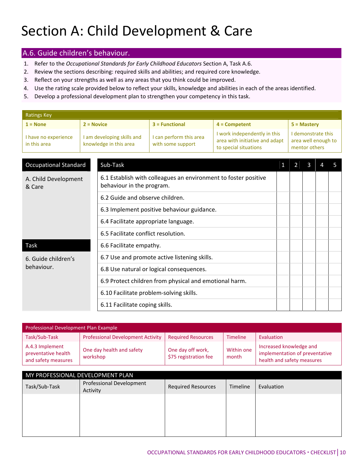#### A.6. Guide children's behaviour.

- 1. Refer to the *Occupational Standards for Early Childhood Educators* Section A, Task A.6.
- 2. Review the sections describing: required skills and abilities; and required core knowledge.
- 3. Reflect on your strengths as well as any areas that you think could be improved.
- 4. Use the rating scale provided below to reflect your skills, knowledge and abilities in each of the areas identified.
- 5. Develop a professional development plan to strengthen your competency in this task.

| <b>Ratings Key</b>                   |              |                                                                                                                                                                                                 |                                                                                              |  |                                     |                |              |                     |   |  |  |
|--------------------------------------|--------------|-------------------------------------------------------------------------------------------------------------------------------------------------------------------------------------------------|----------------------------------------------------------------------------------------------|--|-------------------------------------|----------------|--------------|---------------------|---|--|--|
| $1 = None$                           | $2 = Novice$ |                                                                                                                                                                                                 | $3$ = Functional<br>$4 =$ Competent                                                          |  |                                     |                |              | $5 =$ Mastery       |   |  |  |
| I have no experience<br>in this area |              | I work independently in this<br>I can perform this area<br>I am developing skills and<br>area with initiative and adapt<br>knowledge in this area<br>with some support<br>to special situations |                                                                                              |  | I demonstrate this<br>mentor others |                |              | area well enough to |   |  |  |
|                                      |              |                                                                                                                                                                                                 |                                                                                              |  |                                     |                |              |                     |   |  |  |
| <b>Occupational Standard</b>         |              | Sub-Task                                                                                                                                                                                        |                                                                                              |  | 1 <sup>1</sup>                      | $\overline{2}$ | $\mathbf{3}$ | 4                   | 5 |  |  |
| A. Child Development<br>& Care       |              |                                                                                                                                                                                                 | 6.1 Establish with colleagues an environment to foster positive<br>behaviour in the program. |  |                                     |                |              |                     |   |  |  |
|                                      |              | 6.2 Guide and observe children.                                                                                                                                                                 |                                                                                              |  |                                     |                |              |                     |   |  |  |
|                                      |              | 6.3 Implement positive behaviour guidance.                                                                                                                                                      |                                                                                              |  |                                     |                |              |                     |   |  |  |
|                                      |              | 6.4 Facilitate appropriate language.                                                                                                                                                            |                                                                                              |  |                                     |                |              |                     |   |  |  |
|                                      |              | 6.5 Facilitate conflict resolution.                                                                                                                                                             |                                                                                              |  |                                     |                |              |                     |   |  |  |
| Task                                 |              | 6.6 Facilitate empathy.                                                                                                                                                                         |                                                                                              |  |                                     |                |              |                     |   |  |  |
| 6. Guide children's                  |              | 6.7 Use and promote active listening skills.                                                                                                                                                    |                                                                                              |  |                                     |                |              |                     |   |  |  |
| behaviour.                           |              |                                                                                                                                                                                                 | 6.8 Use natural or logical consequences.                                                     |  |                                     |                |              |                     |   |  |  |
|                                      |              |                                                                                                                                                                                                 | 6.9 Protect children from physical and emotional harm.                                       |  |                                     |                |              |                     |   |  |  |
|                                      |              | 6.10 Facilitate problem-solving skills.                                                                                                                                                         |                                                                                              |  |                                     |                |              |                     |   |  |  |
|                                      |              | 6.11 Facilitate coping skills.                                                                                                                                                                  |                                                                                              |  |                                     |                |              |                     |   |  |  |

| Professional Development Plan Example                         |                                          |                                            |                     |                                                                                         |  |  |  |  |  |
|---------------------------------------------------------------|------------------------------------------|--------------------------------------------|---------------------|-----------------------------------------------------------------------------------------|--|--|--|--|--|
| Task/Sub-Task                                                 | <b>Professional Development Activity</b> | <b>Required Resources</b>                  | <b>Timeline</b>     | Evaluation                                                                              |  |  |  |  |  |
| A.4.3 Implement<br>preventative health<br>and safety measures | One day health and safety<br>workshop    | One day off work,<br>\$75 registration fee | Within one<br>month | Increased knowledge and<br>implementation of preventative<br>health and safety measures |  |  |  |  |  |

| MY PROFESSIONAL DEVELOPMENT PLAN |                                      |                           |          |            |  |  |  |  |
|----------------------------------|--------------------------------------|---------------------------|----------|------------|--|--|--|--|
| Task/Sub-Task                    | Professional Development<br>Activity | <b>Required Resources</b> | Timeline | Evaluation |  |  |  |  |
|                                  |                                      |                           |          |            |  |  |  |  |
|                                  |                                      |                           |          |            |  |  |  |  |
|                                  |                                      |                           |          |            |  |  |  |  |
|                                  |                                      |                           |          |            |  |  |  |  |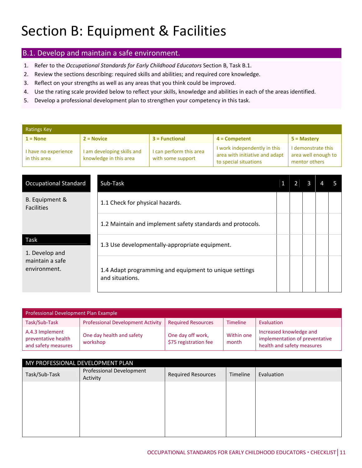### Section B: Equipment & Facilities

#### B.1. Develop and maintain a safe environment.

- 1. Refer to the *Occupational Standards for Early Childhood Educators* Section B, Task B.1.
- 2. Review the sections describing: required skills and abilities; and required core knowledge.
- 3. Reflect on your strengths as well as any areas that you think could be improved.
- 4. Use the rating scale provided below to reflect your skills, knowledge and abilities in each of the areas identified.
- 5. Develop a professional development plan to strengthen your competency in this task.

| <b>Ratings Key</b>                   |                                                      |                                              |                                                                                         |                                                            |  |  |  |  |  |  |
|--------------------------------------|------------------------------------------------------|----------------------------------------------|-----------------------------------------------------------------------------------------|------------------------------------------------------------|--|--|--|--|--|--|
| $1 = None$                           | $2 = Novice$                                         | $3 = Functional$                             | $4 =$ Competent                                                                         | $5 =$ Mastery                                              |  |  |  |  |  |  |
| I have no experience<br>in this area | I am developing skills and<br>knowledge in this area | I can perform this area<br>with some support | I work independently in this<br>area with initiative and adapt<br>to special situations | I demonstrate this<br>area well enough to<br>mentor others |  |  |  |  |  |  |

| <b>Occupational Standard</b>        | Sub-Task                                                                  |  |  |  |
|-------------------------------------|---------------------------------------------------------------------------|--|--|--|
| B. Equipment &<br><b>Facilities</b> | 1.1 Check for physical hazards.                                           |  |  |  |
|                                     | 1.2 Maintain and implement safety standards and protocols.                |  |  |  |
| Task<br>1. Develop and              | 1.3 Use developmentally-appropriate equipment.                            |  |  |  |
| maintain a safe<br>environment.     | 1.4 Adapt programming and equipment to unique settings<br>and situations. |  |  |  |

| Professional Development Plan Example                         |                                          |                                            |                     |                                                                                         |  |  |  |
|---------------------------------------------------------------|------------------------------------------|--------------------------------------------|---------------------|-----------------------------------------------------------------------------------------|--|--|--|
| Task/Sub-Task                                                 | <b>Professional Development Activity</b> | <b>Required Resources</b>                  | <b>Timeline</b>     | Evaluation                                                                              |  |  |  |
| A.4.3 Implement<br>preventative health<br>and safety measures | One day health and safety<br>workshop    | One day off work,<br>\$75 registration fee | Within one<br>month | Increased knowledge and<br>implementation of preventative<br>health and safety measures |  |  |  |

| MY PROFESSIONAL DEVELOPMENT PLAN |                                      |                           |          |            |  |  |
|----------------------------------|--------------------------------------|---------------------------|----------|------------|--|--|
| Task/Sub-Task                    | Professional Development<br>Activity | <b>Required Resources</b> | Timeline | Evaluation |  |  |
|                                  |                                      |                           |          |            |  |  |
|                                  |                                      |                           |          |            |  |  |
|                                  |                                      |                           |          |            |  |  |
|                                  |                                      |                           |          |            |  |  |
|                                  |                                      |                           |          |            |  |  |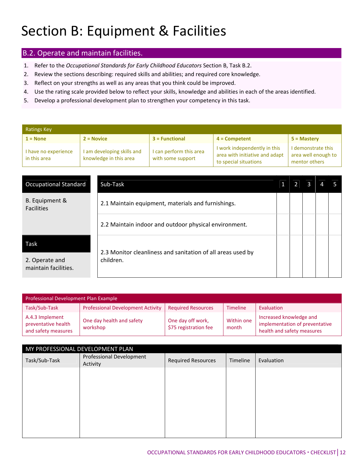### Section B: Equipment & Facilities

#### B.2. Operate and maintain facilities.

- 1. Refer to the *Occupational Standards for Early Childhood Educators* Section B, Task B.2.
- 2. Review the sections describing: required skills and abilities; and required core knowledge.
- 3. Reflect on your strengths as well as any areas that you think could be improved.
- 4. Use the rating scale provided below to reflect your skills, knowledge and abilities in each of the areas identified.
- 5. Develop a professional development plan to strengthen your competency in this task.

| <b>Ratings Key</b>                   |                                                      |                                              |                                                                                         |                                                            |  |  |  |
|--------------------------------------|------------------------------------------------------|----------------------------------------------|-----------------------------------------------------------------------------------------|------------------------------------------------------------|--|--|--|
| $1 = None$                           | $2 = Novice$                                         | $3$ = Functional                             | $4 =$ Competent                                                                         | $5 =$ Mastery                                              |  |  |  |
| I have no experience<br>in this area | I am developing skills and<br>knowledge in this area | I can perform this area<br>with some support | I work independently in this<br>area with initiative and adapt<br>to special situations | I demonstrate this<br>area well enough to<br>mentor others |  |  |  |

| <b>Occupational Standard</b>           | Sub-Task                                                                 |  |  |  |
|----------------------------------------|--------------------------------------------------------------------------|--|--|--|
| B. Equipment &<br><b>Facilities</b>    | 2.1 Maintain equipment, materials and furnishings.                       |  |  |  |
|                                        | 2.2 Maintain indoor and outdoor physical environment.                    |  |  |  |
| Task                                   |                                                                          |  |  |  |
| 2. Operate and<br>maintain facilities. | 2.3 Monitor cleanliness and sanitation of all areas used by<br>children. |  |  |  |

| <b>Professional Development Plan Example</b>                  |                                          |                                            |                     |                                                                                         |  |  |  |
|---------------------------------------------------------------|------------------------------------------|--------------------------------------------|---------------------|-----------------------------------------------------------------------------------------|--|--|--|
| Task/Sub-Task                                                 | <b>Professional Development Activity</b> | <b>Required Resources</b>                  | <b>Timeline</b>     | Evaluation                                                                              |  |  |  |
| A.4.3 Implement<br>preventative health<br>and safety measures | One day health and safety<br>workshop    | One day off work,<br>\$75 registration fee | Within one<br>month | Increased knowledge and<br>implementation of preventative<br>health and safety measures |  |  |  |

| MY PROFESSIONAL DEVELOPMENT PLAN |                                      |                           |          |            |  |  |
|----------------------------------|--------------------------------------|---------------------------|----------|------------|--|--|
| Task/Sub-Task                    | Professional Development<br>Activity | <b>Required Resources</b> | Timeline | Evaluation |  |  |
|                                  |                                      |                           |          |            |  |  |
|                                  |                                      |                           |          |            |  |  |
|                                  |                                      |                           |          |            |  |  |
|                                  |                                      |                           |          |            |  |  |
|                                  |                                      |                           |          |            |  |  |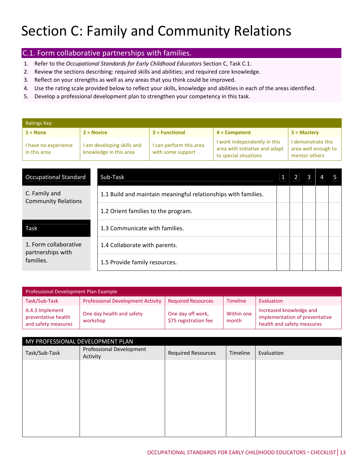#### C.1. Form collaborative partnerships with families.

- 1. Refer to the *Occupational Standards for Early Childhood Educators* Section C, Task C.1.
- 2. Review the sections describing: required skills and abilities; and required core knowledge.
- 3. Reflect on your strengths as well as any areas that you think could be improved.
- 4. Use the rating scale provided below to reflect your skills, knowledge and abilities in each of the areas identified.
- 5. Develop a professional development plan to strengthen your competency in this task.

| Ratings Key                          |                                                      |                                              |                                                                                         |                                                            |  |  |  |  |
|--------------------------------------|------------------------------------------------------|----------------------------------------------|-----------------------------------------------------------------------------------------|------------------------------------------------------------|--|--|--|--|
| $1 = None$                           | $2 = Novice$                                         | $3$ = Functional                             | $4 =$ Competent                                                                         | $5 =$ Mastery                                              |  |  |  |  |
| I have no experience<br>in this area | I am developing skills and<br>knowledge in this area | I can perform this area<br>with some support | I work independently in this<br>area with initiative and adapt<br>to special situations | I demonstrate this<br>area well enough to<br>mentor others |  |  |  |  |

| <b>Occupational Standard</b>                            | Sub-Task                                                       |  |  |  |
|---------------------------------------------------------|----------------------------------------------------------------|--|--|--|
| C. Family and<br><b>Community Relations</b>             | 1.1 Build and maintain meaningful relationships with families. |  |  |  |
|                                                         | 1.2 Orient families to the program.                            |  |  |  |
| Task                                                    | 1.3 Communicate with families.                                 |  |  |  |
| 1. Form collaborative<br>partnerships with<br>families. | 1.4 Collaborate with parents.                                  |  |  |  |
|                                                         | 1.5 Provide family resources.                                  |  |  |  |

| Professional Development Plan Example                         |                                          |                                            |                     |                                                                                         |  |  |  |
|---------------------------------------------------------------|------------------------------------------|--------------------------------------------|---------------------|-----------------------------------------------------------------------------------------|--|--|--|
| Task/Sub-Task                                                 | <b>Professional Development Activity</b> | <b>Required Resources</b>                  | <b>Timeline</b>     | Evaluation                                                                              |  |  |  |
| A.4.3 Implement<br>preventative health<br>and safety measures | One day health and safety<br>workshop    | One day off work,<br>\$75 registration fee | Within one<br>month | Increased knowledge and<br>implementation of preventative<br>health and safety measures |  |  |  |

| MY PROFESSIONAL DEVELOPMENT PLAN |                                      |                           |          |            |  |  |
|----------------------------------|--------------------------------------|---------------------------|----------|------------|--|--|
| Task/Sub-Task                    | Professional Development<br>Activity | <b>Required Resources</b> | Timeline | Evaluation |  |  |
|                                  |                                      |                           |          |            |  |  |
|                                  |                                      |                           |          |            |  |  |
|                                  |                                      |                           |          |            |  |  |
|                                  |                                      |                           |          |            |  |  |
|                                  |                                      |                           |          |            |  |  |
|                                  |                                      |                           |          |            |  |  |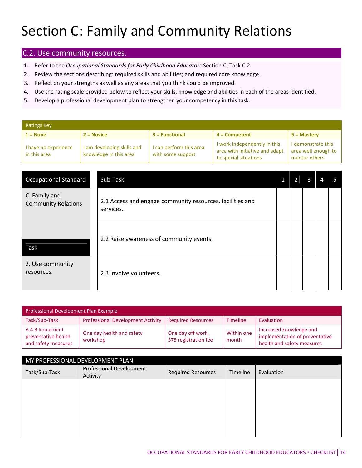#### C.2. Use community resources.

- 1. Refer to the *Occupational Standards for Early Childhood Educators* Section C, Task C.2.
- 2. Review the sections describing: required skills and abilities; and required core knowledge.
- 3. Reflect on your strengths as well as any areas that you think could be improved.
- 4. Use the rating scale provided below to reflect your skills, knowledge and abilities in each of the areas identified.
- 5. Develop a professional development plan to strengthen your competency in this task.

| <b>Ratings Key</b>                   |                                                      |                                              |                                                                                         |                                                            |  |  |  |  |
|--------------------------------------|------------------------------------------------------|----------------------------------------------|-----------------------------------------------------------------------------------------|------------------------------------------------------------|--|--|--|--|
| $1 = None$                           | $2 = Novice$                                         | $3$ = Functional                             | $4 =$ Competent                                                                         | $5 =$ Mastery                                              |  |  |  |  |
| I have no experience<br>in this area | I am developing skills and<br>knowledge in this area | I can perform this area<br>with some support | I work independently in this<br>area with initiative and adapt<br>to special situations | I demonstrate this<br>area well enough to<br>mentor others |  |  |  |  |

| <b>Occupational Standard</b>                | Sub-Task                                                               |  |  |  |
|---------------------------------------------|------------------------------------------------------------------------|--|--|--|
| C. Family and<br><b>Community Relations</b> | 2.1 Access and engage community resources, facilities and<br>services. |  |  |  |
| Task                                        | 2.2 Raise awareness of community events.                               |  |  |  |
| 2. Use community<br>resources.              | 2.3 Involve volunteers.                                                |  |  |  |

| Professional Development Plan Example                         |                                          |                                            |                     |                                                                                         |  |  |  |
|---------------------------------------------------------------|------------------------------------------|--------------------------------------------|---------------------|-----------------------------------------------------------------------------------------|--|--|--|
| Task/Sub-Task                                                 | <b>Professional Development Activity</b> | <b>Required Resources</b>                  | <b>Timeline</b>     | Evaluation                                                                              |  |  |  |
| A.4.3 Implement<br>preventative health<br>and safety measures | One day health and safety<br>workshop    | One day off work,<br>\$75 registration fee | Within one<br>month | Increased knowledge and<br>implementation of preventative<br>health and safety measures |  |  |  |

| MY PROFESSIONAL DEVELOPMENT PLAN |                                      |                           |          |            |  |  |
|----------------------------------|--------------------------------------|---------------------------|----------|------------|--|--|
| Task/Sub-Task                    | Professional Development<br>Activity | <b>Required Resources</b> | Timeline | Evaluation |  |  |
|                                  |                                      |                           |          |            |  |  |
|                                  |                                      |                           |          |            |  |  |
|                                  |                                      |                           |          |            |  |  |
|                                  |                                      |                           |          |            |  |  |
|                                  |                                      |                           |          |            |  |  |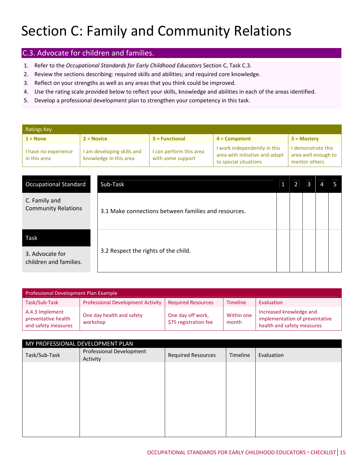#### C.3. Advocate for children and families.

- 1. Refer to the *Occupational Standards for Early Childhood Educators* Section C, Task C.3.
- 2. Review the sections describing: required skills and abilities; and required core knowledge.
- 3. Reflect on your strengths as well as any areas that you think could be improved.
- 4. Use the rating scale provided below to reflect your skills, knowledge and abilities in each of the areas identified.
- 5. Develop a professional development plan to strengthen your competency in this task.

| <b>Ratings Key</b>                   |                                                      |                                              |                                                                                         |                                                            |  |  |  |
|--------------------------------------|------------------------------------------------------|----------------------------------------------|-----------------------------------------------------------------------------------------|------------------------------------------------------------|--|--|--|
| $1 = None$                           | $2 = Novice$                                         | $3 = Functional$                             | $4 =$ Competent                                                                         | $5 =$ Mastery                                              |  |  |  |
| I have no experience<br>in this area | I am developing skills and<br>knowledge in this area | I can perform this area<br>with some support | I work independently in this<br>area with initiative and adapt<br>to special situations | I demonstrate this<br>area well enough to<br>mentor others |  |  |  |

| <b>Occupational Standard</b>                | Sub-Task                                             |  |  |  |
|---------------------------------------------|------------------------------------------------------|--|--|--|
| C. Family and<br><b>Community Relations</b> | 3.1 Make connections between families and resources. |  |  |  |
| Task                                        |                                                      |  |  |  |
| 3. Advocate for<br>children and families.   | 3.2 Respect the rights of the child.                 |  |  |  |

| Professional Development Plan Example                         |                                          |                                            |                     |                                                                                         |  |  |  |
|---------------------------------------------------------------|------------------------------------------|--------------------------------------------|---------------------|-----------------------------------------------------------------------------------------|--|--|--|
| Task/Sub-Task                                                 | <b>Professional Development Activity</b> | <b>Required Resources</b>                  | <b>Timeline</b>     | Evaluation                                                                              |  |  |  |
| A.4.3 Implement<br>preventative health<br>and safety measures | One day health and safety<br>workshop    | One day off work,<br>\$75 registration fee | Within one<br>month | Increased knowledge and<br>implementation of preventative<br>health and safety measures |  |  |  |

| MY PROFESSIONAL DEVELOPMENT PLAN |                                      |                           |          |            |  |
|----------------------------------|--------------------------------------|---------------------------|----------|------------|--|
| Task/Sub-Task                    | Professional Development<br>Activity | <b>Required Resources</b> | Timeline | Evaluation |  |
|                                  |                                      |                           |          |            |  |
|                                  |                                      |                           |          |            |  |
|                                  |                                      |                           |          |            |  |
|                                  |                                      |                           |          |            |  |
|                                  |                                      |                           |          |            |  |
|                                  |                                      |                           |          |            |  |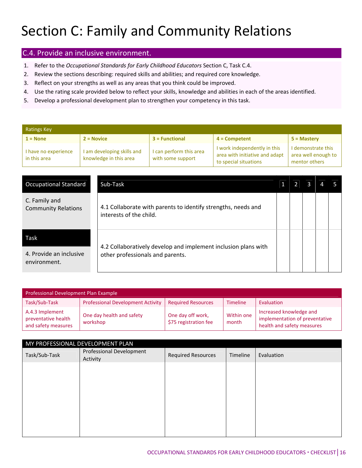#### C.4. Provide an inclusive environment.

- 1. Refer to the *Occupational Standards for Early Childhood Educators* Section C, Task C.4.
- 2. Review the sections describing: required skills and abilities; and required core knowledge.
- 3. Reflect on your strengths as well as any areas that you think could be improved.
- 4. Use the rating scale provided below to reflect your skills, knowledge and abilities in each of the areas identified.
- 5. Develop a professional development plan to strengthen your competency in this task.

| <b>Ratings Key</b>                   |                                                      |                                              |                                                                                         |                                                            |  |  |  |
|--------------------------------------|------------------------------------------------------|----------------------------------------------|-----------------------------------------------------------------------------------------|------------------------------------------------------------|--|--|--|
| $1 = None$                           | $2 = Novice$                                         | $3$ = Functional                             | $4 =$ Competent                                                                         | $5 =$ Mastery                                              |  |  |  |
| I have no experience<br>in this area | I am developing skills and<br>knowledge in this area | I can perform this area<br>with some support | I work independently in this<br>area with initiative and adapt<br>to special situations | I demonstrate this<br>area well enough to<br>mentor others |  |  |  |

| <b>Occupational Standard</b>                | Sub-Task                                                                                           |  |  |  |
|---------------------------------------------|----------------------------------------------------------------------------------------------------|--|--|--|
| C. Family and<br><b>Community Relations</b> | 4.1 Collaborate with parents to identify strengths, needs and<br>interests of the child.           |  |  |  |
| Task                                        |                                                                                                    |  |  |  |
| 4. Provide an inclusive<br>environment.     | 4.2 Collaboratively develop and implement inclusion plans with<br>other professionals and parents. |  |  |  |

| Professional Development Plan Example                         |                                          |                                            |                     |                                                                                         |  |  |  |
|---------------------------------------------------------------|------------------------------------------|--------------------------------------------|---------------------|-----------------------------------------------------------------------------------------|--|--|--|
| Task/Sub-Task                                                 | <b>Professional Development Activity</b> | <b>Required Resources</b>                  | <b>Timeline</b>     | Evaluation                                                                              |  |  |  |
| A.4.3 Implement<br>preventative health<br>and safety measures | One day health and safety<br>workshop    | One day off work,<br>\$75 registration fee | Within one<br>month | Increased knowledge and<br>implementation of preventative<br>health and safety measures |  |  |  |

| MY PROFESSIONAL DEVELOPMENT PLAN |                                      |                           |          |            |  |
|----------------------------------|--------------------------------------|---------------------------|----------|------------|--|
| Task/Sub-Task                    | Professional Development<br>Activity | <b>Required Resources</b> | Timeline | Evaluation |  |
|                                  |                                      |                           |          |            |  |
|                                  |                                      |                           |          |            |  |
|                                  |                                      |                           |          |            |  |
|                                  |                                      |                           |          |            |  |
|                                  |                                      |                           |          |            |  |
|                                  |                                      |                           |          |            |  |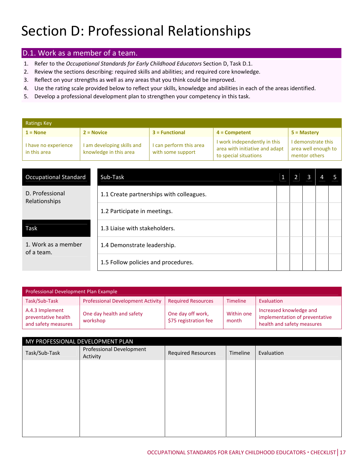### Section D: Professional Relationships

#### D.1. Work as a member of a team.

- 1. Refer to the *Occupational Standards for Early Childhood Educators* Section D, Task D.1.
- 2. Review the sections describing: required skills and abilities; and required core knowledge.
- 3. Reflect on your strengths as well as any areas that you think could be improved.
- 4. Use the rating scale provided below to reflect your skills, knowledge and abilities in each of the areas identified.
- 5. Develop a professional development plan to strengthen your competency in this task.

| Ratings Key                          |                                                      |                                              |                                                                                         |                                                            |  |  |  |
|--------------------------------------|------------------------------------------------------|----------------------------------------------|-----------------------------------------------------------------------------------------|------------------------------------------------------------|--|--|--|
| $1 = None$                           | $2 = Novice$                                         | $3$ = Functional                             | $4 =$ Competent                                                                         | $5 =$ Mastery                                              |  |  |  |
| I have no experience<br>in this area | I am developing skills and<br>knowledge in this area | I can perform this area<br>with some support | I work independently in this<br>area with initiative and adapt<br>to special situations | I demonstrate this<br>area well enough to<br>mentor others |  |  |  |

| <b>Occupational Standard</b>      | Sub-Task                                 |  |  |  |
|-----------------------------------|------------------------------------------|--|--|--|
| D. Professional<br>Relationships  | 1.1 Create partnerships with colleagues. |  |  |  |
|                                   | 1.2 Participate in meetings.             |  |  |  |
| Task                              | 1.3 Liaise with stakeholders.            |  |  |  |
| 1. Work as a member<br>of a team. | 1.4 Demonstrate leadership.              |  |  |  |
|                                   | 1.5 Follow policies and procedures.      |  |  |  |

| Professional Development Plan Example                         |                                          |                                            |                     |                                                                                         |  |  |  |  |
|---------------------------------------------------------------|------------------------------------------|--------------------------------------------|---------------------|-----------------------------------------------------------------------------------------|--|--|--|--|
| Task/Sub-Task                                                 | <b>Professional Development Activity</b> | <b>Required Resources</b>                  | <b>Timeline</b>     | Evaluation                                                                              |  |  |  |  |
| A.4.3 Implement<br>preventative health<br>and safety measures | One day health and safety<br>workshop    | One day off work,<br>\$75 registration fee | Within one<br>month | Increased knowledge and<br>implementation of preventative<br>health and safety measures |  |  |  |  |

| MY PROFESSIONAL DEVELOPMENT PLAN     |                           |          |            |  |  |  |
|--------------------------------------|---------------------------|----------|------------|--|--|--|
| Professional Development<br>Activity | <b>Required Resources</b> | Timeline | Evaluation |  |  |  |
|                                      |                           |          |            |  |  |  |
|                                      |                           |          |            |  |  |  |
|                                      |                           |          |            |  |  |  |
|                                      |                           |          |            |  |  |  |
|                                      |                           |          |            |  |  |  |
|                                      |                           |          |            |  |  |  |
|                                      |                           |          |            |  |  |  |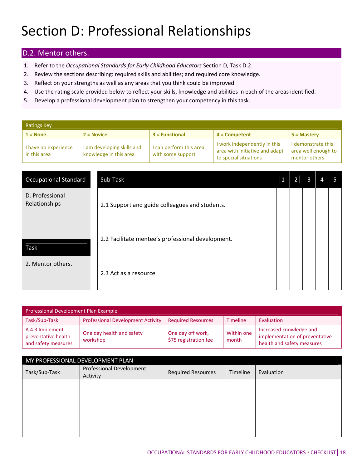### Section D: Professional Relationships

#### D.2. Mentor others.

- 1. Refer to the *Occupational Standards for Early Childhood Educators* Section D, Task D.2.
- 2. Review the sections describing: required skills and abilities; and required core knowledge.
- 3. Reflect on your strengths as well as any areas that you think could be improved.
- 4. Use the rating scale provided below to reflect your skills, knowledge and abilities in each of the areas identified.
- 5. Develop a professional development plan to strengthen your competency in this task.

| <b>Ratings Key</b>                   |                                                      |                                              |                                                                                         |                                                            |  |  |  |  |
|--------------------------------------|------------------------------------------------------|----------------------------------------------|-----------------------------------------------------------------------------------------|------------------------------------------------------------|--|--|--|--|
| $1 = None$                           | $2 = Novice$                                         | $3$ = Functional                             | $4 =$ Competent                                                                         | $5 =$ Mastery                                              |  |  |  |  |
| I have no experience<br>in this area | I am developing skills and<br>knowledge in this area | I can perform this area<br>with some support | I work independently in this<br>area with initiative and adapt<br>to special situations | I demonstrate this<br>area well enough to<br>mentor others |  |  |  |  |

| <b>Occupational Standard</b>     | Sub-Task                                          |  |  |  |
|----------------------------------|---------------------------------------------------|--|--|--|
| D. Professional<br>Relationships | 2.1 Support and guide colleagues and students.    |  |  |  |
| Task                             | 2.2 Facilitate mentee's professional development. |  |  |  |
| 2. Mentor others.                | 2.3 Act as a resource.                            |  |  |  |

| Professional Development Plan Example                         |                                          |                                            |                     |                                                                                         |  |  |  |  |
|---------------------------------------------------------------|------------------------------------------|--------------------------------------------|---------------------|-----------------------------------------------------------------------------------------|--|--|--|--|
| Task/Sub-Task                                                 | <b>Professional Development Activity</b> | <b>Required Resources</b>                  | <b>Timeline</b>     | Evaluation                                                                              |  |  |  |  |
| A.4.3 Implement<br>preventative health<br>and safety measures | One day health and safety<br>workshop    | One day off work,<br>\$75 registration fee | Within one<br>month | Increased knowledge and<br>implementation of preventative<br>health and safety measures |  |  |  |  |

| MY PROFESSIONAL DEVELOPMENT PLAN |                                      |                           |          |            |  |  |
|----------------------------------|--------------------------------------|---------------------------|----------|------------|--|--|
| Task/Sub-Task                    | Professional Development<br>Activity | <b>Required Resources</b> | Timeline | Evaluation |  |  |
|                                  |                                      |                           |          |            |  |  |
|                                  |                                      |                           |          |            |  |  |
|                                  |                                      |                           |          |            |  |  |
|                                  |                                      |                           |          |            |  |  |
|                                  |                                      |                           |          |            |  |  |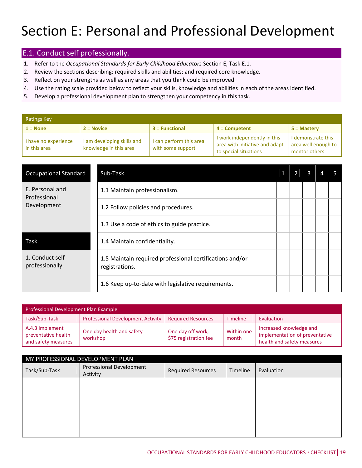#### E.1. Conduct self professionally.

- 1. Refer to the *Occupational Standards for Early Childhood Educators* Section E, Task E.1.
- 2. Review the sections describing: required skills and abilities; and required core knowledge.
- 3. Reflect on your strengths as well as any areas that you think could be improved.
- 4. Use the rating scale provided below to reflect your skills, knowledge and abilities in each of the areas identified.
- 5. Develop a professional development plan to strengthen your competency in this task.

| <b>Ratings Key</b>                   |                                                      |                                              |                                                                                         |                                                            |  |  |  |  |
|--------------------------------------|------------------------------------------------------|----------------------------------------------|-----------------------------------------------------------------------------------------|------------------------------------------------------------|--|--|--|--|
| $1 = None$                           | $2 = Novice$                                         | $3 = Functional$                             | $4 =$ Competent                                                                         | $5 =$ Mastery                                              |  |  |  |  |
| I have no experience<br>in this area | I am developing skills and<br>knowledge in this area | I can perform this area<br>with some support | I work independently in this<br>area with initiative and adapt<br>to special situations | I demonstrate this<br>area well enough to<br>mentor others |  |  |  |  |

| <b>Occupational Standard</b>       | Sub-Task                                                                   |  |  |  |
|------------------------------------|----------------------------------------------------------------------------|--|--|--|
| E. Personal and<br>Professional    | 1.1 Maintain professionalism.                                              |  |  |  |
| Development                        | 1.2 Follow policies and procedures.                                        |  |  |  |
|                                    | 1.3 Use a code of ethics to guide practice.                                |  |  |  |
| Task                               | 1.4 Maintain confidentiality.                                              |  |  |  |
| 1. Conduct self<br>professionally. | 1.5 Maintain required professional certifications and/or<br>registrations. |  |  |  |
|                                    | 1.6 Keep up-to-date with legislative requirements.                         |  |  |  |

| Professional Development Plan Example                         |                                          |                                            |                     |                                                                                         |  |  |  |
|---------------------------------------------------------------|------------------------------------------|--------------------------------------------|---------------------|-----------------------------------------------------------------------------------------|--|--|--|
| Task/Sub-Task                                                 | <b>Professional Development Activity</b> | <b>Required Resources</b>                  | <b>Timeline</b>     | Evaluation                                                                              |  |  |  |
| A.4.3 Implement<br>preventative health<br>and safety measures | One day health and safety<br>workshop    | One day off work,<br>\$75 registration fee | Within one<br>month | Increased knowledge and<br>implementation of preventative<br>health and safety measures |  |  |  |

| MY PROFESSIONAL DEVELOPMENT PLAN     |                           |          |            |  |  |  |
|--------------------------------------|---------------------------|----------|------------|--|--|--|
| Professional Development<br>Activity | <b>Required Resources</b> | Timeline | Evaluation |  |  |  |
|                                      |                           |          |            |  |  |  |
|                                      |                           |          |            |  |  |  |
|                                      |                           |          |            |  |  |  |
|                                      |                           |          |            |  |  |  |
|                                      |                           |          |            |  |  |  |
|                                      |                           |          |            |  |  |  |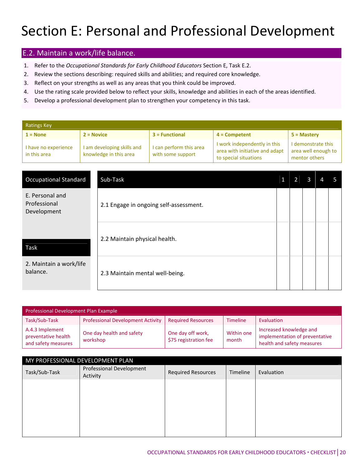#### E.2. Maintain a work/life balance.

- 1. Refer to the *Occupational Standards for Early Childhood Educators* Section E, Task E.2.
- 2. Review the sections describing: required skills and abilities; and required core knowledge.
- 3. Reflect on your strengths as well as any areas that you think could be improved.
- 4. Use the rating scale provided below to reflect your skills, knowledge and abilities in each of the areas identified.
- 5. Develop a professional development plan to strengthen your competency in this task.

| <b>Ratings Key</b>                   |                                                      |                                              |                                                                                         |                                                            |  |  |  |  |
|--------------------------------------|------------------------------------------------------|----------------------------------------------|-----------------------------------------------------------------------------------------|------------------------------------------------------------|--|--|--|--|
| $1 = None$                           | $2 = Novice$                                         | $3$ = Functional                             | $4 =$ Competent                                                                         | $5 =$ Mastery                                              |  |  |  |  |
| I have no experience<br>in this area | I am developing skills and<br>knowledge in this area | I can perform this area<br>with some support | I work independently in this<br>area with initiative and adapt<br>to special situations | I demonstrate this<br>area well enough to<br>mentor others |  |  |  |  |

| <b>Occupational Standard</b>                   | Sub-Task                               |  |  |  |
|------------------------------------------------|----------------------------------------|--|--|--|
| E. Personal and<br>Professional<br>Development | 2.1 Engage in ongoing self-assessment. |  |  |  |
| Task                                           | 2.2 Maintain physical health.          |  |  |  |
| 2. Maintain a work/life<br>balance.            | 2.3 Maintain mental well-being.        |  |  |  |

| Professional Development Plan Example                         |                                          |                                            |                     |                                                                                         |  |  |  |
|---------------------------------------------------------------|------------------------------------------|--------------------------------------------|---------------------|-----------------------------------------------------------------------------------------|--|--|--|
| Task/Sub-Task                                                 | <b>Professional Development Activity</b> | <b>Required Resources</b>                  | <b>Timeline</b>     | Evaluation                                                                              |  |  |  |
| A.4.3 Implement<br>preventative health<br>and safety measures | One day health and safety<br>workshop    | One day off work,<br>\$75 registration fee | Within one<br>month | Increased knowledge and<br>implementation of preventative<br>health and safety measures |  |  |  |

| MY PROFESSIONAL DEVELOPMENT PLAN |                                      |                           |          |            |  |  |
|----------------------------------|--------------------------------------|---------------------------|----------|------------|--|--|
| Task/Sub-Task                    | Professional Development<br>Activity | <b>Required Resources</b> | Timeline | Evaluation |  |  |
|                                  |                                      |                           |          |            |  |  |
|                                  |                                      |                           |          |            |  |  |
|                                  |                                      |                           |          |            |  |  |
|                                  |                                      |                           |          |            |  |  |
|                                  |                                      |                           |          |            |  |  |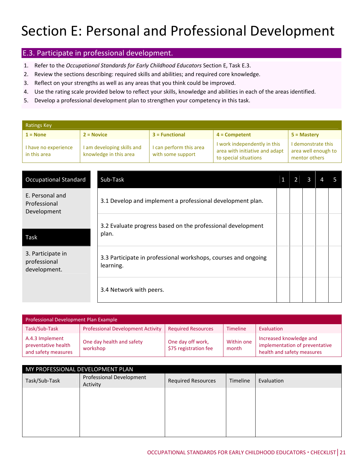#### E.3. Participate in professional development.

- 1. Refer to the *Occupational Standards for Early Childhood Educators* Section E, Task E.3.
- 2. Review the sections describing: required skills and abilities; and required core knowledge.
- 3. Reflect on your strengths as well as any areas that you think could be improved.
- 4. Use the rating scale provided below to reflect your skills, knowledge and abilities in each of the areas identified.
- 5. Develop a professional development plan to strengthen your competency in this task.

| Ratings Key                          |                                                    |                                              |                                                                                         |                                                            |  |  |  |
|--------------------------------------|----------------------------------------------------|----------------------------------------------|-----------------------------------------------------------------------------------------|------------------------------------------------------------|--|--|--|
| $1 = None$                           | $2 = Novice$                                       | $3$ = Functional                             | $4 =$ Competent                                                                         | $5 =$ Mastery                                              |  |  |  |
| I have no experience<br>in this area | am developing skills and<br>knowledge in this area | I can perform this area<br>with some support | I work independently in this<br>area with initiative and adapt<br>to special situations | I demonstrate this<br>area well enough to<br>mentor others |  |  |  |
|                                      |                                                    |                                              |                                                                                         |                                                            |  |  |  |

| <b>Occupational Standard</b>                      | Sub-Task                                                                    |  |  |  |
|---------------------------------------------------|-----------------------------------------------------------------------------|--|--|--|
| E. Personal and<br>Professional<br>Development    | 3.1 Develop and implement a professional development plan.                  |  |  |  |
|                                                   | 3.2 Evaluate progress based on the professional development                 |  |  |  |
| Task                                              | plan.                                                                       |  |  |  |
| 3. Participate in<br>professional<br>development. | 3.3 Participate in professional workshops, courses and ongoing<br>learning. |  |  |  |
|                                                   | 3.4 Network with peers.                                                     |  |  |  |

| Professional Development Plan Example                         |                                          |                                            |                     |                                                                                         |  |  |  |
|---------------------------------------------------------------|------------------------------------------|--------------------------------------------|---------------------|-----------------------------------------------------------------------------------------|--|--|--|
| Task/Sub-Task                                                 | <b>Professional Development Activity</b> | <b>Required Resources</b>                  | <b>Timeline</b>     | Evaluation                                                                              |  |  |  |
| A.4.3 Implement<br>preventative health<br>and safety measures | One day health and safety<br>workshop    | One day off work,<br>\$75 registration fee | Within one<br>month | Increased knowledge and<br>implementation of preventative<br>health and safety measures |  |  |  |

| MY PROFESSIONAL DEVELOPMENT PLAN |                                      |                           |          |            |  |
|----------------------------------|--------------------------------------|---------------------------|----------|------------|--|
| Task/Sub-Task                    | Professional Development<br>Activity | <b>Required Resources</b> | Timeline | Evaluation |  |
|                                  |                                      |                           |          |            |  |
|                                  |                                      |                           |          |            |  |
|                                  |                                      |                           |          |            |  |
|                                  |                                      |                           |          |            |  |
|                                  |                                      |                           |          |            |  |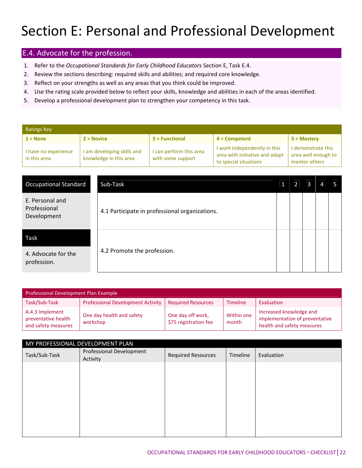#### E.4. Advocate for the profession.

- 1. Refer to the *Occupational Standards for Early Childhood Educators* Section E, Task E.4.
- 2. Review the sections describing: required skills and abilities; and required core knowledge.
- 3. Reflect on your strengths as well as any areas that you think could be improved.
- 4. Use the rating scale provided below to reflect your skills, knowledge and abilities in each of the areas identified.
- 5. Develop a professional development plan to strengthen your competency in this task.

| <b>Ratings Key</b>                   |                                                      |                                              |                                                                                         |                                                            |  |  |  |
|--------------------------------------|------------------------------------------------------|----------------------------------------------|-----------------------------------------------------------------------------------------|------------------------------------------------------------|--|--|--|
| $1 = None$                           | $2 = Novice$                                         | $3 = Functional$                             | $4 =$ Competent                                                                         | $5 =$ Mastery                                              |  |  |  |
| I have no experience<br>in this area | I am developing skills and<br>knowledge in this area | I can perform this area<br>with some support | I work independently in this<br>area with initiative and adapt<br>to special situations | I demonstrate this<br>area well enough to<br>mentor others |  |  |  |

| <b>Occupational Standard</b>                   | Sub-Task                                       |  |  |  |
|------------------------------------------------|------------------------------------------------|--|--|--|
| E. Personal and<br>Professional<br>Development | 4.1 Participate in professional organizations. |  |  |  |
| Task                                           |                                                |  |  |  |
| 4. Advocate for the<br>profession.             | 4.2 Promote the profession.                    |  |  |  |

| Professional Development Plan Example                         |                                          |                                            |                     |                                                                                         |  |  |  |
|---------------------------------------------------------------|------------------------------------------|--------------------------------------------|---------------------|-----------------------------------------------------------------------------------------|--|--|--|
| Task/Sub-Task                                                 | <b>Professional Development Activity</b> | <b>Required Resources</b>                  | <b>Timeline</b>     | Evaluation                                                                              |  |  |  |
| A.4.3 Implement<br>preventative health<br>and safety measures | One day health and safety<br>workshop    | One day off work,<br>\$75 registration fee | Within one<br>month | Increased knowledge and<br>implementation of preventative<br>health and safety measures |  |  |  |

| MY PROFESSIONAL DEVELOPMENT PLAN |                                      |                           |          |            |  |
|----------------------------------|--------------------------------------|---------------------------|----------|------------|--|
| Task/Sub-Task                    | Professional Development<br>Activity | <b>Required Resources</b> | Timeline | Evaluation |  |
|                                  |                                      |                           |          |            |  |
|                                  |                                      |                           |          |            |  |
|                                  |                                      |                           |          |            |  |
|                                  |                                      |                           |          |            |  |
|                                  |                                      |                           |          |            |  |
|                                  |                                      |                           |          |            |  |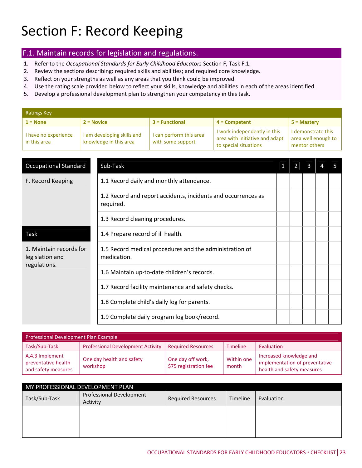### Section F: Record Keeping

#### F.1. Maintain records for legislation and regulations.

- 1. Refer to the *Occupational Standards for Early Childhood Educators* Section F, Task F.1.
- 2. Review the sections describing: required skills and abilities; and required core knowledge.
- 3. Reflect on your strengths as well as any areas that you think could be improved.
- 4. Use the rating scale provided below to reflect your skills, knowledge and abilities in each of the areas identified.
- 5. Develop a professional development plan to strengthen your competency in this task.

| <b>Ratings Key</b>                   |                                                      |                                              |                                                                                         |                                                            |  |  |  |
|--------------------------------------|------------------------------------------------------|----------------------------------------------|-----------------------------------------------------------------------------------------|------------------------------------------------------------|--|--|--|
| $1 = None$                           | $2 = Novice$                                         | $3$ = Functional                             | $4 =$ Competent                                                                         | $5 =$ Mastery                                              |  |  |  |
| I have no experience<br>in this area | I am developing skills and<br>knowledge in this area | I can perform this area<br>with some support | I work independently in this<br>area with initiative and adapt<br>to special situations | I demonstrate this<br>area well enough to<br>mentor others |  |  |  |

| <b>Occupational Standard</b>                               | Sub-Task                                                                   |  |  |  |
|------------------------------------------------------------|----------------------------------------------------------------------------|--|--|--|
| F. Record Keeping                                          | 1.1 Record daily and monthly attendance.                                   |  |  |  |
|                                                            | 1.2 Record and report accidents, incidents and occurrences as<br>required. |  |  |  |
|                                                            | 1.3 Record cleaning procedures.                                            |  |  |  |
| Task                                                       | 1.4 Prepare record of ill health.                                          |  |  |  |
| 1. Maintain records for<br>legislation and<br>regulations. | 1.5 Record medical procedures and the administration of<br>medication.     |  |  |  |
|                                                            | 1.6 Maintain up-to-date children's records.                                |  |  |  |
|                                                            | 1.7 Record facility maintenance and safety checks.                         |  |  |  |
|                                                            | 1.8 Complete child's daily log for parents.                                |  |  |  |
|                                                            | 1.9 Complete daily program log book/record.                                |  |  |  |

| Professional Development Plan Example                         |                                          |                                            |                     |                                                                                         |  |  |  |  |
|---------------------------------------------------------------|------------------------------------------|--------------------------------------------|---------------------|-----------------------------------------------------------------------------------------|--|--|--|--|
| Task/Sub-Task                                                 | <b>Professional Development Activity</b> | <b>Required Resources</b>                  | <b>Timeline</b>     | Evaluation                                                                              |  |  |  |  |
| A.4.3 Implement<br>preventative health<br>and safety measures | One day health and safety<br>workshop    | One day off work,<br>\$75 registration fee | Within one<br>month | Increased knowledge and<br>implementation of preventative<br>health and safety measures |  |  |  |  |

| MY PROFESSIONAL DEVELOPMENT PLAN |                                      |                           |          |            |  |  |  |  |
|----------------------------------|--------------------------------------|---------------------------|----------|------------|--|--|--|--|
| Task/Sub-Task                    | Professional Development<br>Activity | <b>Required Resources</b> | Timeline | Evaluation |  |  |  |  |
|                                  |                                      |                           |          |            |  |  |  |  |
|                                  |                                      |                           |          |            |  |  |  |  |
|                                  |                                      |                           |          |            |  |  |  |  |